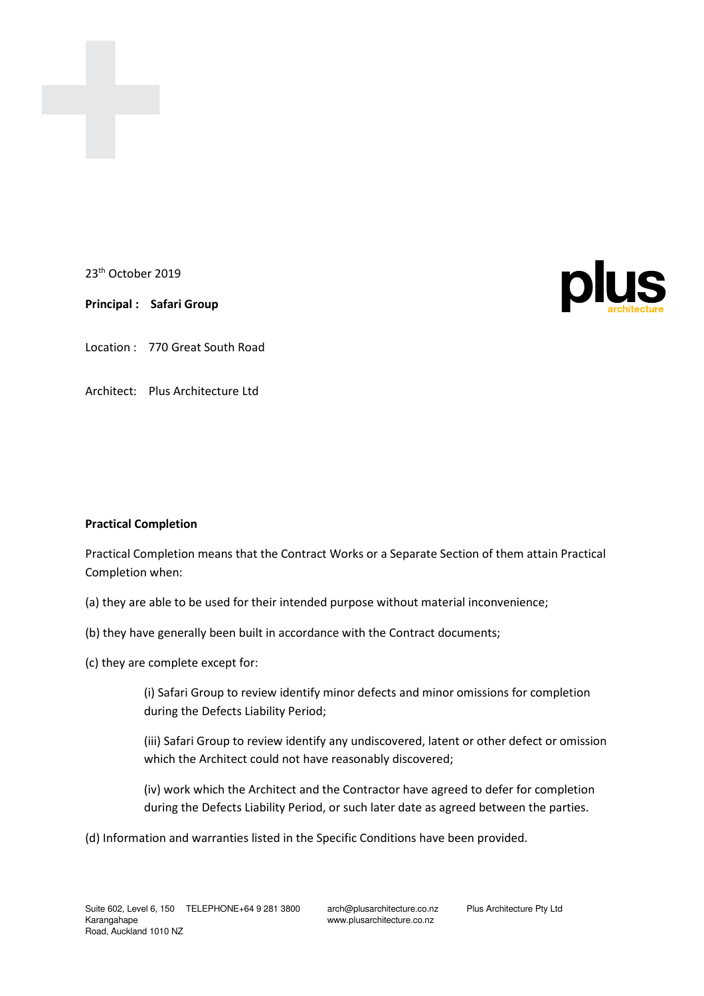

23<sup>th</sup> October 2019

**Principal : Safari Group** 

Location : 770 Great South Road

Architect: Plus Architecture Ltd

## **Practical Completion**

Practical Completion means that the Contract Works or a Separate Section of them attain Practical Completion when:

- (a) they are able to be used for their intended purpose without material inconvenience;
- (b) they have generally been built in accordance with the Contract documents;
- (c) they are complete except for:

 (i) Safari Group to review identify minor defects and minor omissions for completion during the Defects Liability Period;

 (iii) Safari Group to review identify any undiscovered, latent or other defect or omission which the Architect could not have reasonably discovered;

 (iv) work which the Architect and the Contractor have agreed to defer for completion during the Defects Liability Period, or such later date as agreed between the parties.

(d) Information and warranties listed in the Specific Conditions have been provided.

www.plusarchitecture.co.nz